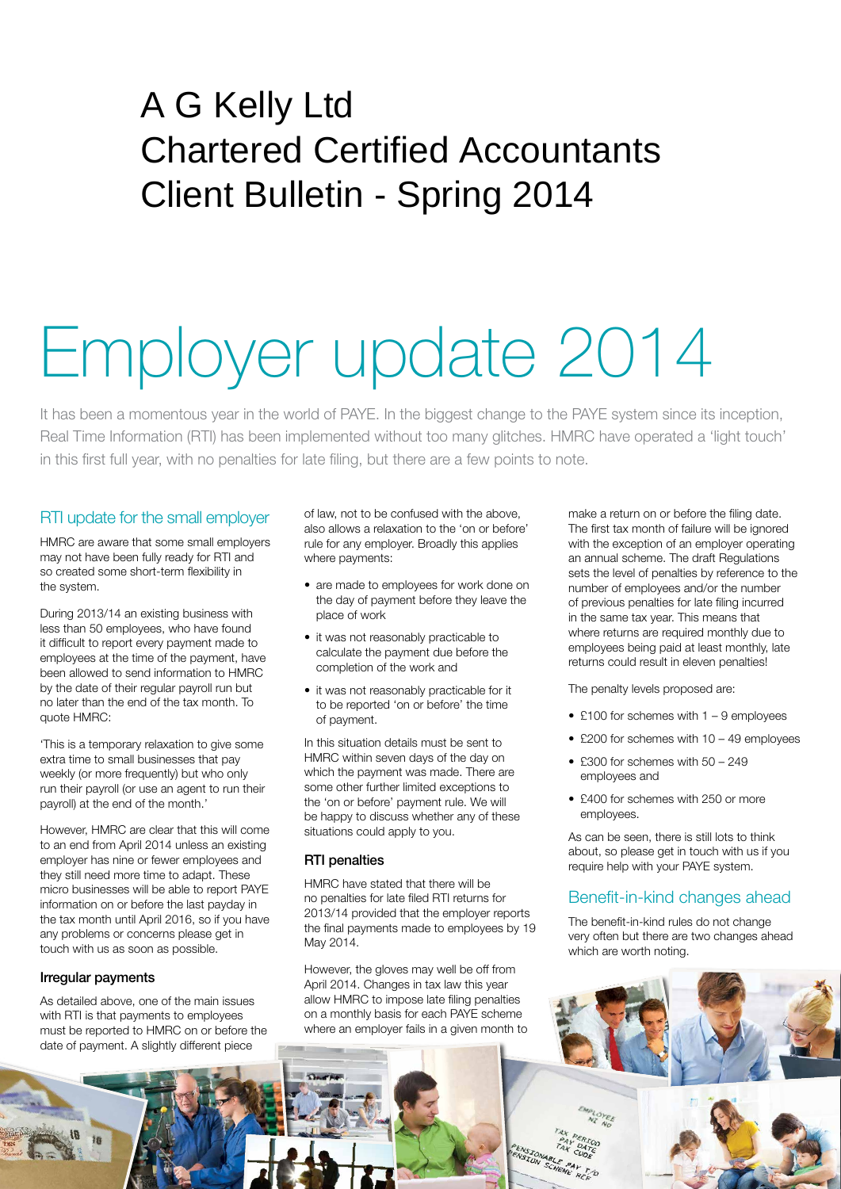# A G Kelly Ltd Chartered Certified Accountants Client Bulletin - Spring 2014

# Employer update 2014

It has been a momentous year in the world of PAYE. In the biggest change to the PAYE system since its inception, Real Time Information (RTI) has been implemented without too many glitches. HMRC have operated a 'light touch' in this first full year, with no penalties for late filing, but there are a few points to note.

# RTI update for the small employer

HMRC are aware that some small employers may not have been fully ready for RTI and so created some short-term flexibility in the system.

During 2013/14 an existing business with less than 50 employees, who have found it difficult to report every payment made to employees at the time of the payment, have been allowed to send information to HMRC by the date of their regular payroll run but no later than the end of the tax month. To quote HMRC:

'This is a temporary relaxation to give some extra time to small businesses that pay weekly (or more frequently) but who only run their payroll (or use an agent to run their payroll) at the end of the month.'

However, HMRC are clear that this will come to an end from April 2014 unless an existing employer has nine or fewer employees and they still need more time to adapt. These micro businesses will be able to report PAYE information on or before the last payday in the tax month until April 2016, so if you have any problems or concerns please get in touch with us as soon as possible.

### Irregular payments

As detailed above, one of the main issues with RTI is that payments to employees must be reported to HMRC on or before the date of payment. A slightly different piece

of law, not to be confused with the above, also allows a relaxation to the 'on or before' rule for any employer. Broadly this applies where payments:

- are made to employees for work done on the day of payment before they leave the place of work
- it was not reasonably practicable to calculate the payment due before the completion of the work and
- it was not reasonably practicable for it to be reported 'on or before' the time of payment.

In this situation details must be sent to HMRC within seven days of the day on which the payment was made. There are some other further limited exceptions to the 'on or before' payment rule. We will be happy to discuss whether any of these situations could apply to you.

### RTI penalties

HMRC have stated that there will be no penalties for late filed RTI returns for 2013/14 provided that the employer reports the final payments made to employees by 19 May 2014.

However, the gloves may well be off from April 2014. Changes in tax law this year allow HMRC to impose late filing penalties on a monthly basis for each PAYE scheme where an employer fails in a given month to

make a return on or before the filing date. The first tax month of failure will be ignored with the exception of an employer operating an annual scheme. The draft Regulations sets the level of penalties by reference to the number of employees and/or the number of previous penalties for late filing incurred in the same tax year. This means that where returns are required monthly due to employees being paid at least monthly, late returns could result in eleven penalties!

The penalty levels proposed are:

- £100 for schemes with  $1 9$  employees
- £200 for schemes with 10 49 employees
- £300 for schemes with 50 249 employees and
- £400 for schemes with 250 or more employees.

As can be seen, there is still lots to think about, so please get in touch with us if you require help with your PAYE system.

# Benefit-in-kind changes ahead

The benefit-in-kind rules do not change very often but there are two changes ahead which are worth noting.